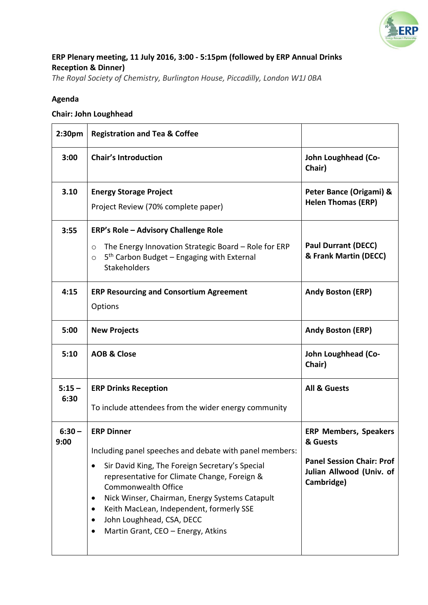

# **ERP Plenary meeting, 11 July 2016, 3:00 - 5:15pm (followed by ERP Annual Drinks Reception & Dinner)**

*The Royal Society of Chemistry, Burlington House, Piccadilly, London W1J 0BA*

## **Agenda**

## **Chair: John Loughhead**

| 2:30pm           | <b>Registration and Tea &amp; Coffee</b>                                                                                                                                                                                                                                                                                                                                                                            |                                                                                                                        |
|------------------|---------------------------------------------------------------------------------------------------------------------------------------------------------------------------------------------------------------------------------------------------------------------------------------------------------------------------------------------------------------------------------------------------------------------|------------------------------------------------------------------------------------------------------------------------|
| 3:00             | <b>Chair's Introduction</b>                                                                                                                                                                                                                                                                                                                                                                                         | John Loughhead (Co-<br>Chair)                                                                                          |
| 3.10             | <b>Energy Storage Project</b><br>Project Review (70% complete paper)                                                                                                                                                                                                                                                                                                                                                | Peter Bance (Origami) &<br><b>Helen Thomas (ERP)</b>                                                                   |
| 3:55             | <b>ERP's Role - Advisory Challenge Role</b><br>The Energy Innovation Strategic Board - Role for ERP<br>$\circ$<br>$5th$ Carbon Budget – Engaging with External<br>$\circ$<br><b>Stakeholders</b>                                                                                                                                                                                                                    | <b>Paul Durrant (DECC)</b><br>& Frank Martin (DECC)                                                                    |
| 4:15             | <b>ERP Resourcing and Consortium Agreement</b><br>Options                                                                                                                                                                                                                                                                                                                                                           | <b>Andy Boston (ERP)</b>                                                                                               |
| 5:00             | <b>New Projects</b>                                                                                                                                                                                                                                                                                                                                                                                                 | <b>Andy Boston (ERP)</b>                                                                                               |
| 5:10             | <b>AOB &amp; Close</b>                                                                                                                                                                                                                                                                                                                                                                                              | John Loughhead (Co-<br>Chair)                                                                                          |
| $5:15 -$<br>6:30 | <b>ERP Drinks Reception</b><br>To include attendees from the wider energy community                                                                                                                                                                                                                                                                                                                                 | <b>All &amp; Guests</b>                                                                                                |
| $6:30 -$<br>9:00 | <b>ERP Dinner</b><br>Including panel speeches and debate with panel members:<br>Sir David King, The Foreign Secretary's Special<br>$\bullet$<br>representative for Climate Change, Foreign &<br>Commonwealth Office<br>Nick Winser, Chairman, Energy Systems Catapult<br>٠<br>Keith MacLean, Independent, formerly SSE<br>$\bullet$<br>John Loughhead, CSA, DECC<br>$\bullet$<br>Martin Grant, CEO - Energy, Atkins | <b>ERP Members, Speakers</b><br>& Guests<br><b>Panel Session Chair: Prof</b><br>Julian Allwood (Univ. of<br>Cambridge) |